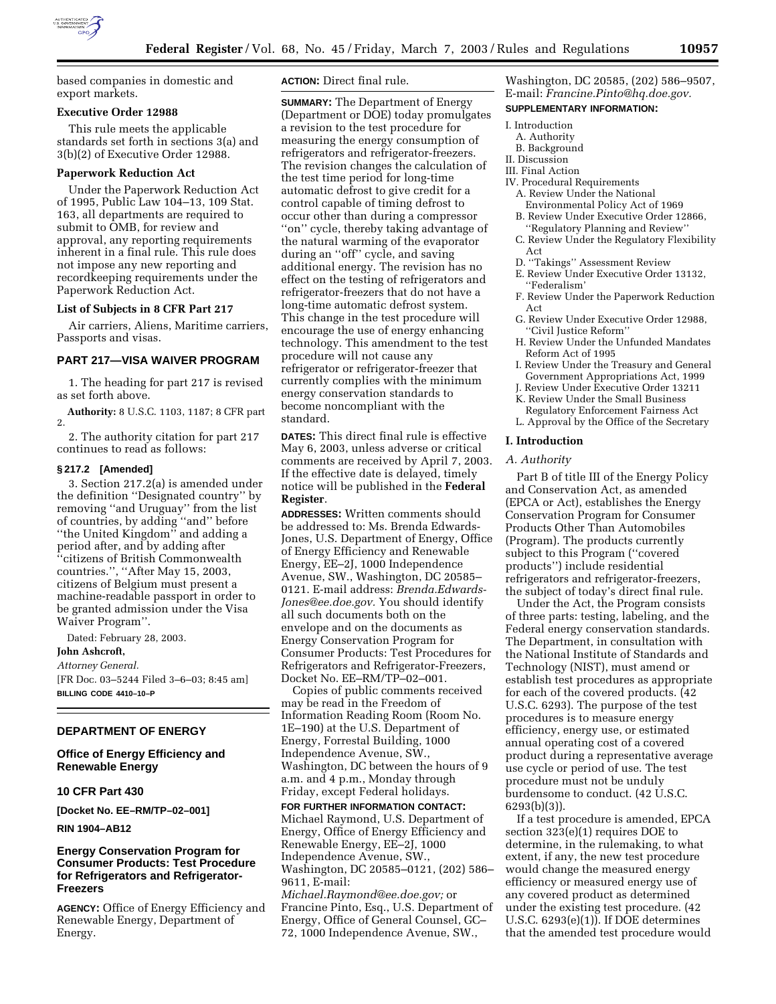

based companies in domestic and export markets.

#### **Executive Order 12988**

This rule meets the applicable standards set forth in sections 3(a) and 3(b)(2) of Executive Order 12988.

### **Paperwork Reduction Act**

Under the Paperwork Reduction Act of 1995, Public Law 104–13, 109 Stat. 163, all departments are required to submit to OMB, for review and approval, any reporting requirements inherent in a final rule. This rule does not impose any new reporting and recordkeeping requirements under the Paperwork Reduction Act.

#### **List of Subjects in 8 CFR Part 217**

Air carriers, Aliens, Maritime carriers, Passports and visas.

### **PART 217—VISA WAIVER PROGRAM**

1. The heading for part 217 is revised as set forth above.

**Authority:** 8 U.S.C. 1103, 1187; 8 CFR part 2.

2. The authority citation for part 217 continues to read as follows:

#### **§ 217.2 [Amended]**

3. Section 217.2(a) is amended under the definition ''Designated country'' by removing ''and Uruguay'' from the list of countries, by adding ''and'' before ''the United Kingdom'' and adding a period after, and by adding after ''citizens of British Commonwealth countries.'', ''After May 15, 2003, citizens of Belgium must present a machine-readable passport in order to be granted admission under the Visa Waiver Program''.

Dated: February 28, 2003. **John Ashcroft,**  *Attorney General.* [FR Doc. 03–5244 Filed 3–6–03; 8:45 am] **BILLING CODE 4410–10–P**

## **DEPARTMENT OF ENERGY**

## **Office of Energy Efficiency and Renewable Energy**

### **10 CFR Part 430**

**[Docket No. EE–RM/TP–02–001]** 

**RIN 1904–AB12** 

## **Energy Conservation Program for Consumer Products: Test Procedure for Refrigerators and Refrigerator-Freezers**

**AGENCY:** Office of Energy Efficiency and Renewable Energy, Department of Energy.

**ACTION:** Direct final rule.

**SUMMARY:** The Department of Energy (Department or DOE) today promulgates a revision to the test procedure for measuring the energy consumption of refrigerators and refrigerator-freezers. The revision changes the calculation of the test time period for long-time automatic defrost to give credit for a control capable of timing defrost to occur other than during a compressor ''on'' cycle, thereby taking advantage of the natural warming of the evaporator during an ''off'' cycle, and saving additional energy. The revision has no effect on the testing of refrigerators and refrigerator-freezers that do not have a long-time automatic defrost system. This change in the test procedure will encourage the use of energy enhancing technology. This amendment to the test procedure will not cause any refrigerator or refrigerator-freezer that currently complies with the minimum energy conservation standards to become noncompliant with the standard.

**DATES:** This direct final rule is effective May 6, 2003, unless adverse or critical comments are received by April 7, 2003. If the effective date is delayed, timely notice will be published in the **Federal Register**.

**ADDRESSES:** Written comments should be addressed to: Ms. Brenda Edwards-Jones, U.S. Department of Energy, Office of Energy Efficiency and Renewable Energy, EE–2J, 1000 Independence Avenue, SW., Washington, DC 20585– 0121. E-mail address: *Brenda.Edwards-Jones@ee.doe.gov.* You should identify all such documents both on the envelope and on the documents as Energy Conservation Program for Consumer Products: Test Procedures for Refrigerators and Refrigerator-Freezers, Docket No. EE–RM/TP–02–001.

Copies of public comments received may be read in the Freedom of Information Reading Room (Room No. 1E–190) at the U.S. Department of Energy, Forrestal Building, 1000 Independence Avenue, SW., Washington, DC between the hours of 9 a.m. and 4 p.m., Monday through Friday, except Federal holidays.

**FOR FURTHER INFORMATION CONTACT:** Michael Raymond, U.S. Department of Energy, Office of Energy Efficiency and Renewable Energy, EE–2J, 1000 Independence Avenue, SW., Washington, DC 20585–0121, (202) 586– 9611, E-mail:

*Michael.Raymond@ee.doe.gov;* or Francine Pinto, Esq., U.S. Department of Energy, Office of General Counsel, GC– 72, 1000 Independence Avenue, SW.,

Washington, DC 20585, (202) 586–9507, E-mail: *Francine.Pinto@hq.doe.gov.* **SUPPLEMENTARY INFORMATION:**

### I. Introduction

- A. Authority
- B. Background
- II. Discussion
- III. Final Action
- IV. Procedural Requirements A. Review Under the National
	- Environmental Policy Act of 1969 B. Review Under Executive Order 12866,
	- ''Regulatory Planning and Review''
	- C. Review Under the Regulatory Flexibility Act
	- D. ''Takings'' Assessment Review
	- E. Review Under Executive Order 13132, ''Federalism'
	- F. Review Under the Paperwork Reduction Act
	- G. Review Under Executive Order 12988, ''Civil Justice Reform''
	- H. Review Under the Unfunded Mandates Reform Act of 1995
	- I. Review Under the Treasury and General Government Appropriations Act, 1999
- J. Review Under Executive Order 13211 K. Review Under the Small Business
- Regulatory Enforcement Fairness Act L. Approval by the Office of the Secretary

#### **I. Introduction**

#### *A. Authority*

Part B of title III of the Energy Policy and Conservation Act, as amended (EPCA or Act), establishes the Energy Conservation Program for Consumer Products Other Than Automobiles (Program). The products currently subject to this Program (''covered products'') include residential refrigerators and refrigerator-freezers, the subject of today's direct final rule.

Under the Act, the Program consists of three parts: testing, labeling, and the Federal energy conservation standards. The Department, in consultation with the National Institute of Standards and Technology (NIST), must amend or establish test procedures as appropriate for each of the covered products. (42 U.S.C. 6293). The purpose of the test procedures is to measure energy efficiency, energy use, or estimated annual operating cost of a covered product during a representative average use cycle or period of use. The test procedure must not be unduly burdensome to conduct. (42 U.S.C. 6293(b)(3)).

If a test procedure is amended, EPCA section 323(e)(1) requires DOE to determine, in the rulemaking, to what extent, if any, the new test procedure would change the measured energy efficiency or measured energy use of any covered product as determined under the existing test procedure. (42 U.S.C. 6293(e)(1)). If DOE determines that the amended test procedure would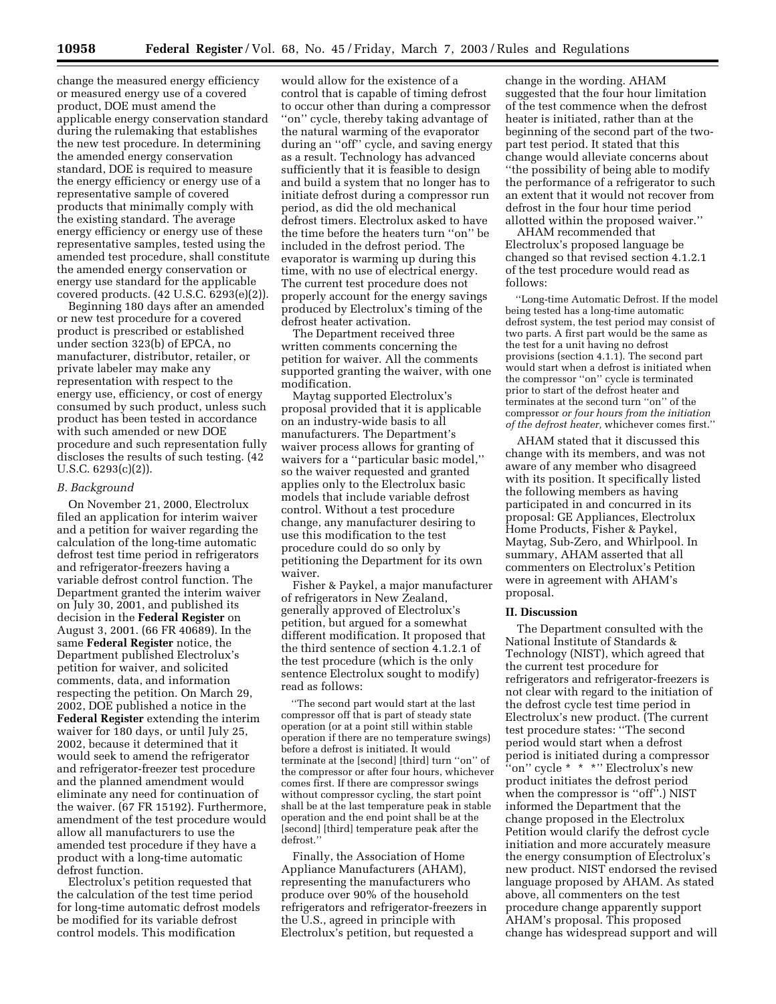change the measured energy efficiency or measured energy use of a covered product, DOE must amend the applicable energy conservation standard during the rulemaking that establishes the new test procedure. In determining the amended energy conservation standard, DOE is required to measure the energy efficiency or energy use of a representative sample of covered products that minimally comply with the existing standard. The average energy efficiency or energy use of these representative samples, tested using the amended test procedure, shall constitute the amended energy conservation or energy use standard for the applicable covered products. (42 U.S.C. 6293(e)(2)).

Beginning 180 days after an amended or new test procedure for a covered product is prescribed or established under section 323(b) of EPCA, no manufacturer, distributor, retailer, or private labeler may make any representation with respect to the energy use, efficiency, or cost of energy consumed by such product, unless such product has been tested in accordance with such amended or new DOE procedure and such representation fully discloses the results of such testing. (42 U.S.C. 6293(c)(2)).

#### *B. Background*

On November 21, 2000, Electrolux filed an application for interim waiver and a petition for waiver regarding the calculation of the long-time automatic defrost test time period in refrigerators and refrigerator-freezers having a variable defrost control function. The Department granted the interim waiver on July 30, 2001, and published its decision in the **Federal Register** on August 3, 2001. (66 FR 40689). In the same **Federal Register** notice, the Department published Electrolux's petition for waiver, and solicited comments, data, and information respecting the petition. On March 29, 2002, DOE published a notice in the **Federal Register** extending the interim waiver for 180 days, or until July 25, 2002, because it determined that it would seek to amend the refrigerator and refrigerator-freezer test procedure and the planned amendment would eliminate any need for continuation of the waiver. (67 FR 15192). Furthermore, amendment of the test procedure would allow all manufacturers to use the amended test procedure if they have a product with a long-time automatic defrost function.

Electrolux's petition requested that the calculation of the test time period for long-time automatic defrost models be modified for its variable defrost control models. This modification

would allow for the existence of a control that is capable of timing defrost to occur other than during a compressor ''on'' cycle, thereby taking advantage of the natural warming of the evaporator during an ''off'' cycle, and saving energy as a result. Technology has advanced sufficiently that it is feasible to design and build a system that no longer has to initiate defrost during a compressor run period, as did the old mechanical defrost timers. Electrolux asked to have the time before the heaters turn ''on'' be included in the defrost period. The evaporator is warming up during this time, with no use of electrical energy. The current test procedure does not properly account for the energy savings produced by Electrolux's timing of the defrost heater activation.

The Department received three written comments concerning the petition for waiver. All the comments supported granting the waiver, with one modification.

Maytag supported Electrolux's proposal provided that it is applicable on an industry-wide basis to all manufacturers. The Department's waiver process allows for granting of waivers for a ''particular basic model,'' so the waiver requested and granted applies only to the Electrolux basic models that include variable defrost control. Without a test procedure change, any manufacturer desiring to use this modification to the test procedure could do so only by petitioning the Department for its own waiver.

Fisher & Paykel, a major manufacturer of refrigerators in New Zealand, generally approved of Electrolux's petition, but argued for a somewhat different modification. It proposed that the third sentence of section 4.1.2.1 of the test procedure (which is the only sentence Electrolux sought to modify) read as follows:

'The second part would start at the last compressor off that is part of steady state operation (or at a point still within stable operation if there are no temperature swings) before a defrost is initiated. It would terminate at the [second] [third] turn ''on'' of the compressor or after four hours, whichever comes first. If there are compressor swings without compressor cycling, the start point shall be at the last temperature peak in stable operation and the end point shall be at the [second] [third] temperature peak after the defrost.''

Finally, the Association of Home Appliance Manufacturers (AHAM), representing the manufacturers who produce over 90% of the household refrigerators and refrigerator-freezers in the U.S., agreed in principle with Electrolux's petition, but requested a

change in the wording. AHAM suggested that the four hour limitation of the test commence when the defrost heater is initiated, rather than at the beginning of the second part of the twopart test period. It stated that this change would alleviate concerns about ''the possibility of being able to modify the performance of a refrigerator to such an extent that it would not recover from defrost in the four hour time period allotted within the proposed waiver.''

AHAM recommended that Electrolux's proposed language be changed so that revised section 4.1.2.1 of the test procedure would read as follows:

''Long-time Automatic Defrost. If the model being tested has a long-time automatic defrost system, the test period may consist of two parts. A first part would be the same as the test for a unit having no defrost provisions (section 4.1.1). The second part would start when a defrost is initiated when the compressor ''on'' cycle is terminated prior to start of the defrost heater and terminates at the second turn ''on'' of the compressor *or four hours from the initiation of the defrost heater,* whichever comes first.''

AHAM stated that it discussed this change with its members, and was not aware of any member who disagreed with its position. It specifically listed the following members as having participated in and concurred in its proposal: GE Appliances, Electrolux Home Products, Fisher & Paykel, Maytag, Sub-Zero, and Whirlpool. In summary, AHAM asserted that all commenters on Electrolux's Petition were in agreement with AHAM's proposal.

#### **II. Discussion**

The Department consulted with the National Institute of Standards & Technology (NIST), which agreed that the current test procedure for refrigerators and refrigerator-freezers is not clear with regard to the initiation of the defrost cycle test time period in Electrolux's new product. (The current test procedure states: ''The second period would start when a defrost period is initiated during a compressor "on" cycle \* \* \*" Electrolux's new product initiates the defrost period when the compressor is "off".) NIST informed the Department that the change proposed in the Electrolux Petition would clarify the defrost cycle initiation and more accurately measure the energy consumption of Electrolux's new product. NIST endorsed the revised language proposed by AHAM. As stated above, all commenters on the test procedure change apparently support AHAM's proposal. This proposed change has widespread support and will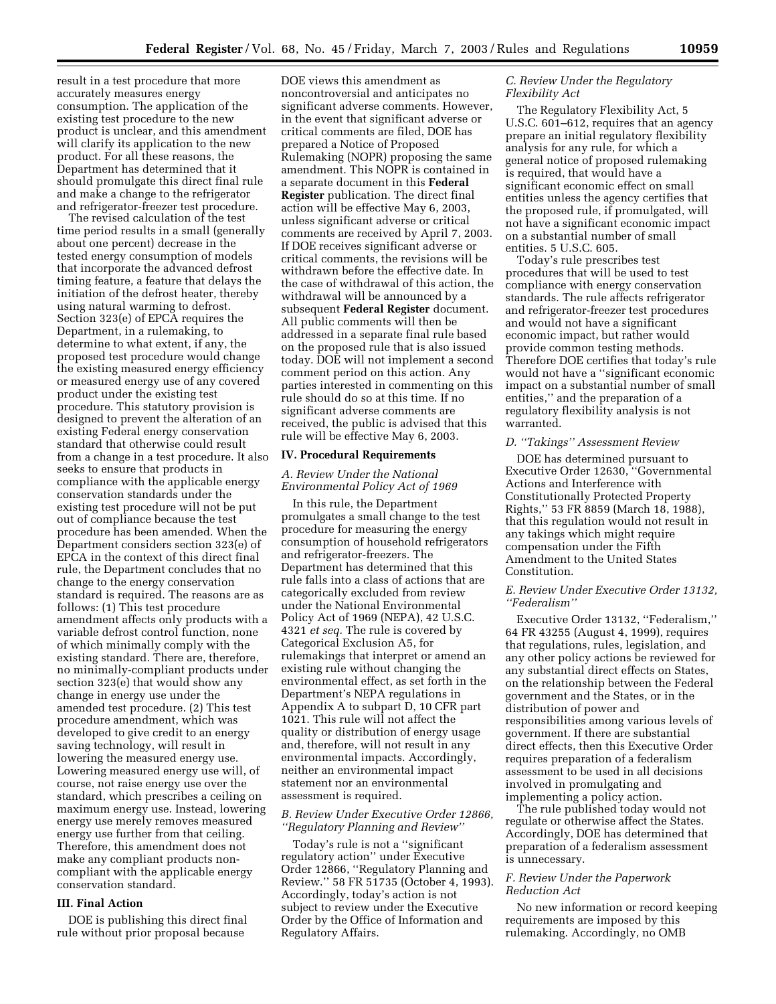result in a test procedure that more accurately measures energy consumption. The application of the existing test procedure to the new product is unclear, and this amendment will clarify its application to the new product. For all these reasons, the Department has determined that it should promulgate this direct final rule and make a change to the refrigerator and refrigerator-freezer test procedure.

The revised calculation of the test time period results in a small (generally about one percent) decrease in the tested energy consumption of models that incorporate the advanced defrost timing feature, a feature that delays the initiation of the defrost heater, thereby using natural warming to defrost. Section 323(e) of EPCA requires the Department, in a rulemaking, to determine to what extent, if any, the proposed test procedure would change the existing measured energy efficiency or measured energy use of any covered product under the existing test procedure. This statutory provision is designed to prevent the alteration of an existing Federal energy conservation standard that otherwise could result from a change in a test procedure. It also seeks to ensure that products in compliance with the applicable energy conservation standards under the existing test procedure will not be put out of compliance because the test procedure has been amended. When the Department considers section 323(e) of EPCA in the context of this direct final rule, the Department concludes that no change to the energy conservation standard is required. The reasons are as follows: (1) This test procedure amendment affects only products with a variable defrost control function, none of which minimally comply with the existing standard. There are, therefore, no minimally-compliant products under section 323(e) that would show any change in energy use under the amended test procedure. (2) This test procedure amendment, which was developed to give credit to an energy saving technology, will result in lowering the measured energy use. Lowering measured energy use will, of course, not raise energy use over the standard, which prescribes a ceiling on maximum energy use. Instead, lowering energy use merely removes measured energy use further from that ceiling. Therefore, this amendment does not make any compliant products noncompliant with the applicable energy conservation standard.

#### **III. Final Action**

DOE is publishing this direct final rule without prior proposal because

DOE views this amendment as noncontroversial and anticipates no significant adverse comments. However, in the event that significant adverse or critical comments are filed, DOE has prepared a Notice of Proposed Rulemaking (NOPR) proposing the same amendment. This NOPR is contained in a separate document in this **Federal Register** publication. The direct final action will be effective May 6, 2003, unless significant adverse or critical comments are received by April 7, 2003. If DOE receives significant adverse or critical comments, the revisions will be withdrawn before the effective date. In the case of withdrawal of this action, the withdrawal will be announced by a subsequent **Federal Register** document. All public comments will then be addressed in a separate final rule based on the proposed rule that is also issued today. DOE will not implement a second comment period on this action. Any parties interested in commenting on this rule should do so at this time. If no significant adverse comments are received, the public is advised that this rule will be effective May 6, 2003.

# **IV. Procedural Requirements**

### *A. Review Under the National Environmental Policy Act of 1969*

In this rule, the Department promulgates a small change to the test procedure for measuring the energy consumption of household refrigerators and refrigerator-freezers. The Department has determined that this rule falls into a class of actions that are categorically excluded from review under the National Environmental Policy Act of 1969 (NEPA), 42 U.S.C. 4321 *et seq.* The rule is covered by Categorical Exclusion A5, for rulemakings that interpret or amend an existing rule without changing the environmental effect, as set forth in the Department's NEPA regulations in Appendix A to subpart D, 10 CFR part 1021. This rule will not affect the quality or distribution of energy usage and, therefore, will not result in any environmental impacts. Accordingly, neither an environmental impact statement nor an environmental assessment is required.

## *B. Review Under Executive Order 12866, ''Regulatory Planning and Review''*

Today's rule is not a ''significant regulatory action'' under Executive Order 12866, ''Regulatory Planning and Review.'' 58 FR 51735 (October 4, 1993). Accordingly, today's action is not subject to review under the Executive Order by the Office of Information and Regulatory Affairs.

### *C. Review Under the Regulatory Flexibility Act*

The Regulatory Flexibility Act, 5 U.S.C. 601–612, requires that an agency prepare an initial regulatory flexibility analysis for any rule, for which a general notice of proposed rulemaking is required, that would have a significant economic effect on small entities unless the agency certifies that the proposed rule, if promulgated, will not have a significant economic impact on a substantial number of small entities. 5 U.S.C. 605.

Today's rule prescribes test procedures that will be used to test compliance with energy conservation standards. The rule affects refrigerator and refrigerator-freezer test procedures and would not have a significant economic impact, but rather would provide common testing methods. Therefore DOE certifies that today's rule would not have a ''significant economic impact on a substantial number of small entities,'' and the preparation of a regulatory flexibility analysis is not warranted.

#### *D. ''Takings'' Assessment Review*

DOE has determined pursuant to Executive Order 12630, ''Governmental Actions and Interference with Constitutionally Protected Property Rights,'' 53 FR 8859 (March 18, 1988), that this regulation would not result in any takings which might require compensation under the Fifth Amendment to the United States Constitution.

### *E. Review Under Executive Order 13132, ''Federalism''*

Executive Order 13132, ''Federalism,'' 64 FR 43255 (August 4, 1999), requires that regulations, rules, legislation, and any other policy actions be reviewed for any substantial direct effects on States, on the relationship between the Federal government and the States, or in the distribution of power and responsibilities among various levels of government. If there are substantial direct effects, then this Executive Order requires preparation of a federalism assessment to be used in all decisions involved in promulgating and implementing a policy action.

The rule published today would not regulate or otherwise affect the States. Accordingly, DOE has determined that preparation of a federalism assessment is unnecessary.

### *F. Review Under the Paperwork Reduction Act*

No new information or record keeping requirements are imposed by this rulemaking. Accordingly, no OMB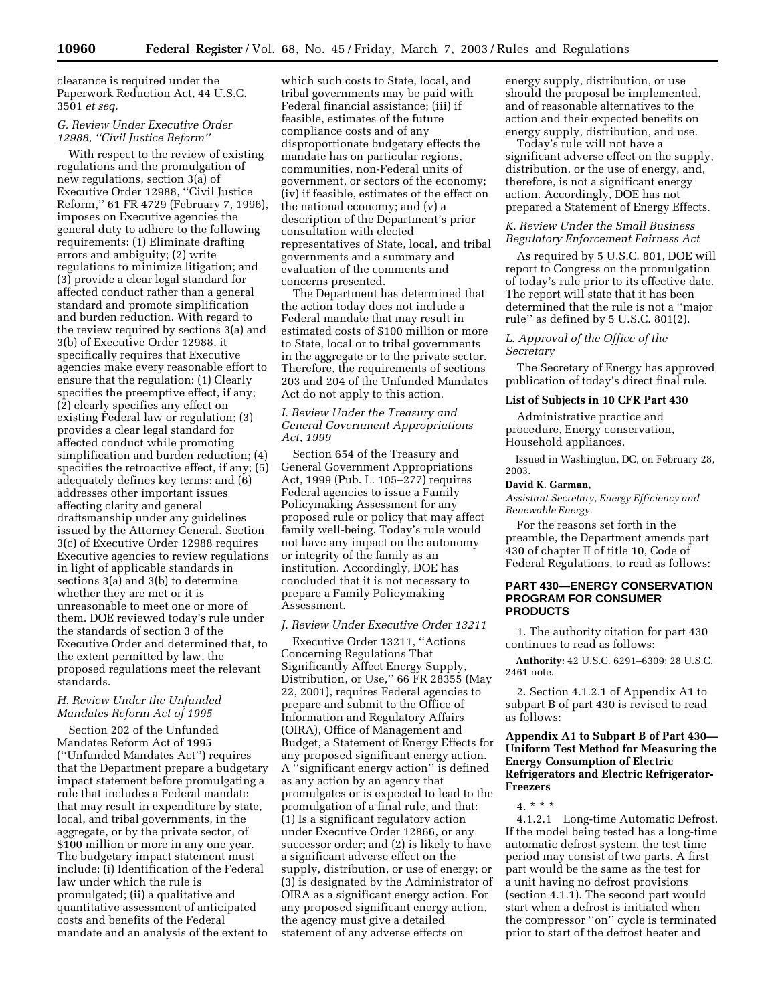clearance is required under the Paperwork Reduction Act, 44 U.S.C. 3501 *et seq.*

# *G. Review Under Executive Order 12988, ''Civil Justice Reform''*

With respect to the review of existing regulations and the promulgation of new regulations, section 3(a) of Executive Order 12988, ''Civil Justice Reform,'' 61 FR 4729 (February 7, 1996), imposes on Executive agencies the general duty to adhere to the following requirements: (1) Eliminate drafting errors and ambiguity; (2) write regulations to minimize litigation; and (3) provide a clear legal standard for affected conduct rather than a general standard and promote simplification and burden reduction. With regard to the review required by sections 3(a) and 3(b) of Executive Order 12988, it specifically requires that Executive agencies make every reasonable effort to ensure that the regulation: (1) Clearly specifies the preemptive effect, if any; (2) clearly specifies any effect on existing Federal law or regulation; (3) provides a clear legal standard for affected conduct while promoting simplification and burden reduction; (4) specifies the retroactive effect, if any; (5) adequately defines key terms; and (6) addresses other important issues affecting clarity and general draftsmanship under any guidelines issued by the Attorney General. Section 3(c) of Executive Order 12988 requires Executive agencies to review regulations in light of applicable standards in sections 3(a) and 3(b) to determine whether they are met or it is unreasonable to meet one or more of them. DOE reviewed today's rule under the standards of section 3 of the Executive Order and determined that, to the extent permitted by law, the proposed regulations meet the relevant standards.

### *H. Review Under the Unfunded Mandates Reform Act of 1995*

Section 202 of the Unfunded Mandates Reform Act of 1995 (''Unfunded Mandates Act'') requires that the Department prepare a budgetary impact statement before promulgating a rule that includes a Federal mandate that may result in expenditure by state, local, and tribal governments, in the aggregate, or by the private sector, of \$100 million or more in any one year. The budgetary impact statement must include: (i) Identification of the Federal law under which the rule is promulgated; (ii) a qualitative and quantitative assessment of anticipated costs and benefits of the Federal mandate and an analysis of the extent to

which such costs to State, local, and tribal governments may be paid with Federal financial assistance; (iii) if feasible, estimates of the future compliance costs and of any disproportionate budgetary effects the mandate has on particular regions, communities, non-Federal units of government, or sectors of the economy; (iv) if feasible, estimates of the effect on the national economy; and (v) a description of the Department's prior consultation with elected representatives of State, local, and tribal governments and a summary and evaluation of the comments and concerns presented.

The Department has determined that the action today does not include a Federal mandate that may result in estimated costs of \$100 million or more to State, local or to tribal governments in the aggregate or to the private sector. Therefore, the requirements of sections 203 and 204 of the Unfunded Mandates Act do not apply to this action.

## *I. Review Under the Treasury and General Government Appropriations Act, 1999*

Section 654 of the Treasury and General Government Appropriations Act, 1999 (Pub. L. 105–277) requires Federal agencies to issue a Family Policymaking Assessment for any proposed rule or policy that may affect family well-being. Today's rule would not have any impact on the autonomy or integrity of the family as an institution. Accordingly, DOE has concluded that it is not necessary to prepare a Family Policymaking Assessment.

### *J. Review Under Executive Order 13211*

Executive Order 13211, ''Actions Concerning Regulations That Significantly Affect Energy Supply, Distribution, or Use,'' 66 FR 28355 (May 22, 2001), requires Federal agencies to prepare and submit to the Office of Information and Regulatory Affairs (OIRA), Office of Management and Budget, a Statement of Energy Effects for any proposed significant energy action. A ''significant energy action'' is defined as any action by an agency that promulgates or is expected to lead to the promulgation of a final rule, and that: (1) Is a significant regulatory action under Executive Order 12866, or any successor order; and (2) is likely to have a significant adverse effect on the supply, distribution, or use of energy; or (3) is designated by the Administrator of OIRA as a significant energy action. For any proposed significant energy action, the agency must give a detailed statement of any adverse effects on

energy supply, distribution, or use should the proposal be implemented, and of reasonable alternatives to the action and their expected benefits on energy supply, distribution, and use.

Today's rule will not have a significant adverse effect on the supply, distribution, or the use of energy, and, therefore, is not a significant energy action. Accordingly, DOE has not prepared a Statement of Energy Effects.

### *K. Review Under the Small Business Regulatory Enforcement Fairness Act*

As required by 5 U.S.C. 801, DOE will report to Congress on the promulgation of today's rule prior to its effective date. The report will state that it has been determined that the rule is not a ''major rule'' as defined by 5 U.S.C. 801(2).

## *L. Approval of the Office of the Secretary*

The Secretary of Energy has approved publication of today's direct final rule.

#### **List of Subjects in 10 CFR Part 430**

Administrative practice and procedure, Energy conservation, Household appliances.

Issued in Washington, DC, on February 28, 2003.

#### **David K. Garman,**

*Assistant Secretary, Energy Efficiency and Renewable Energy.*

For the reasons set forth in the preamble, the Department amends part 430 of chapter II of title 10, Code of Federal Regulations, to read as follows:

## **PART 430—ENERGY CONSERVATION PROGRAM FOR CONSUMER PRODUCTS**

1. The authority citation for part 430 continues to read as follows:

**Authority:** 42 U.S.C. 6291–6309; 28 U.S.C. 2461 note.

2. Section 4.1.2.1 of Appendix A1 to subpart B of part 430 is revised to read as follows:

## **Appendix A1 to Subpart B of Part 430— Uniform Test Method for Measuring the Energy Consumption of Electric Refrigerators and Electric Refrigerator-Freezers**

# 4. \* \* \*

4.1.2.1 Long-time Automatic Defrost. If the model being tested has a long-time automatic defrost system, the test time period may consist of two parts. A first part would be the same as the test for a unit having no defrost provisions (section 4.1.1). The second part would start when a defrost is initiated when the compressor ''on'' cycle is terminated prior to start of the defrost heater and